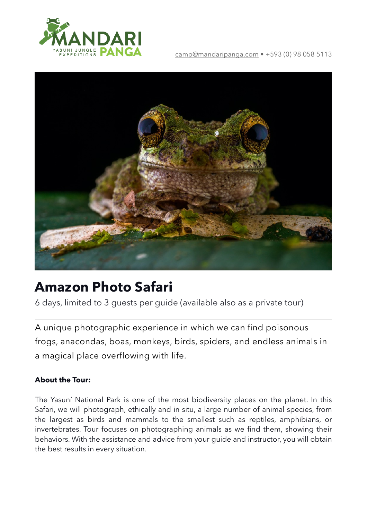

#### [camp@mandaripanga.com](mailto:camp@mandaripanga.com) • +593 (0) 98 058 5113



# **Amazon Photo Safari**

6 days, limited to 3 guests per guide (available also as a private tour)

A unique photographic experience in which we can find poisonous frogs, anacondas, boas, monkeys, birds, spiders, and endless animals in a magical place overflowing with life.

### **About the Tour:**

The Yasuní National Park is one of the most biodiversity places on the planet. In this Safari, we will photograph, ethically and in situ, a large number of animal species, from the largest as birds and mammals to the smallest such as reptiles, amphibians, or invertebrates. Tour focuses on photographing animals as we find them, showing their behaviors. With the assistance and advice from your guide and instructor, you will obtain the best results in every situation.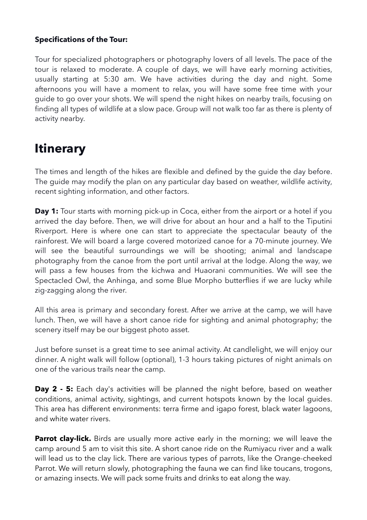#### **Specifications of the Tour:**

Tour for specialized photographers or photography lovers of all levels. The pace of the tour is relaxed to moderate. A couple of days, we will have early morning activities, usually starting at 5:30 am. We have activities during the day and night. Some afternoons you will have a moment to relax, you will have some free time with your guide to go over your shots. We will spend the night hikes on nearby trails, focusing on finding all types of wildlife at a slow pace. Group will not walk too far as there is plenty of activity nearby.

## **Itinerary**

The times and length of the hikes are flexible and defined by the guide the day before. The guide may modify the plan on any particular day based on weather, wildlife activity, recent sighting information, and other factors.

**Day 1:** Tour starts with morning pick-up in Coca, either from the airport or a hotel if you arrived the day before. Then, we will drive for about an hour and a half to the Tiputini Riverport. Here is where one can start to appreciate the spectacular beauty of the rainforest. We will board a large covered motorized canoe for a 70-minute journey. We will see the beautiful surroundings we will be shooting; animal and landscape photography from the canoe from the port until arrival at the lodge. Along the way, we will pass a few houses from the kichwa and Huaorani communities. We will see the Spectacled Owl, the Anhinga, and some Blue Morpho butterflies if we are lucky while zig-zagging along the river.

All this area is primary and secondary forest. After we arrive at the camp, we will have lunch. Then, we will have a short canoe ride for sighting and animal photography; the scenery itself may be our biggest photo asset.

Just before sunset is a great time to see animal activity. At candlelight, we will enjoy our dinner. A night walk will follow (optional), 1-3 hours taking pictures of night animals on one of the various trails near the camp.

**Day 2 - 5:** Each day's activities will be planned the night before, based on weather conditions, animal activity, sightings, and current hotspots known by the local guides. This area has different environments: terra firme and igapo forest, black water lagoons, and white water rivers.

**Parrot clay-lick.** Birds are usually more active early in the morning; we will leave the camp around 5 am to visit this site. A short canoe ride on the Rumiyacu river and a walk will lead us to the clay lick. There are various types of parrots, like the Orange-cheeked Parrot. We will return slowly, photographing the fauna we can find like toucans, trogons, or amazing insects. We will pack some fruits and drinks to eat along the way.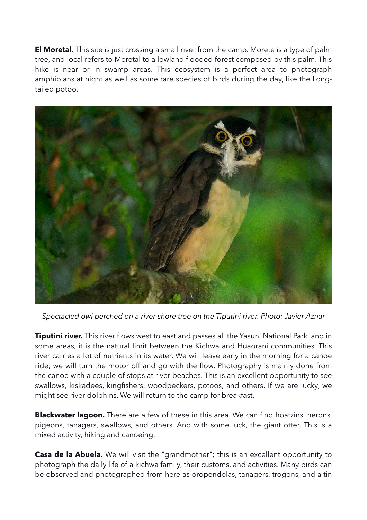**El Moretal.** This site is just crossing a small river from the camp. Morete is a type of palm tree, and local refers to Moretal to a lowland flooded forest composed by this palm. This hike is near or in swamp areas. This ecosystem is a perfect area to photograph amphibians at night as well as some rare species of birds during the day, like the Longtailed potoo.



*Spectacled owl perched on a river shore tree on the Tiputini river. Photo: Javier Aznar*

**Tiputini river.** This river flows west to east and passes all the Yasuni National Park, and in some areas, it is the natural limit between the Kichwa and Huaorani communities. This river carries a lot of nutrients in its water. We will leave early in the morning for a canoe ride; we will turn the motor off and go with the flow. Photography is mainly done from the canoe with a couple of stops at river beaches. This is an excellent opportunity to see swallows, kiskadees, kingfishers, woodpeckers, potoos, and others. If we are lucky, we might see river dolphins. We will return to the camp for breakfast.

**Blackwater lagoon.** There are a few of these in this area. We can find hoatzins, herons, pigeons, tanagers, swallows, and others. And with some luck, the giant otter. This is a mixed activity, hiking and canoeing.

**Casa de la Abuela.** We will visit the "grandmother"; this is an excellent opportunity to photograph the daily life of a kichwa family, their customs, and activities. Many birds can be observed and photographed from here as oropendolas, tanagers, trogons, and a tin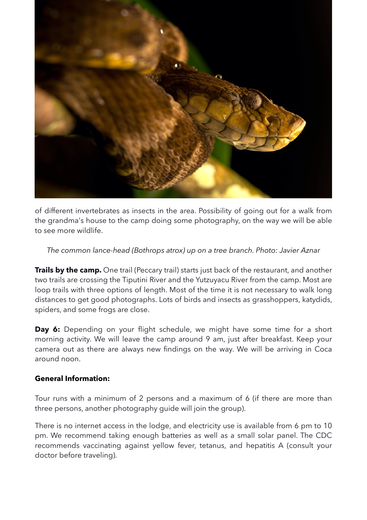

of different invertebrates as insects in the area. Possibility of going out for a walk from the grandma's house to the camp doing some photography, on the way we will be able to see more wildlife.

#### *The common lance-head (Bothrops atrox) up on a tree branch. Photo: Javier Aznar*

**Trails by the camp.** One trail (Peccary trail) starts just back of the restaurant, and another two trails are crossing the Tiputini River and the Yutzuyacu River from the camp. Most are loop trails with three options of length. Most of the time it is not necessary to walk long distances to get good photographs. Lots of birds and insects as grasshoppers, katydids, spiders, and some frogs are close.

**Day 6:** Depending on your flight schedule, we might have some time for a short morning activity. We will leave the camp around 9 am, just after breakfast. Keep your camera out as there are always new findings on the way. We will be arriving in Coca around noon.

#### **General Information:**

Tour runs with a minimum of 2 persons and a maximum of 6 (if there are more than three persons, another photography guide will join the group).

There is no internet access in the lodge, and electricity use is available from 6 pm to 10 pm. We recommend taking enough batteries as well as a small solar panel. The CDC recommends vaccinating against yellow fever, tetanus, and hepatitis A (consult your doctor before traveling).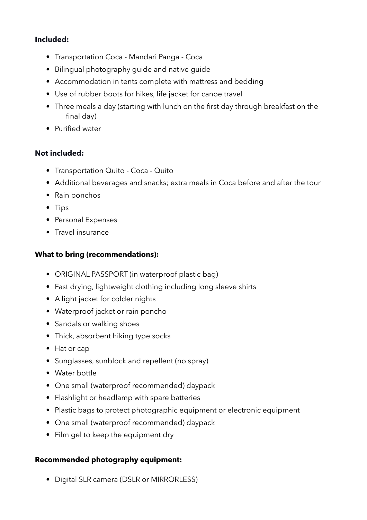#### **Included:**

- Transportation Coca Mandari Panga Coca
- Bilingual photography guide and native guide
- Accommodation in tents complete with mattress and bedding
- Use of rubber boots for hikes, life jacket for canoe travel
- Three meals a day (starting with lunch on the first day through breakfast on the final day)
- Purified water

## **Not included:**

- Transportation Quito Coca Quito
- Additional beverages and snacks; extra meals in Coca before and after the tour
- Rain ponchos
- Tips
- Personal Expenses
- Travel insurance

### **What to bring (recommendations):**

- ORIGINAL PASSPORT (in waterproof plastic bag)
- Fast drying, lightweight clothing including long sleeve shirts
- A light jacket for colder nights
- Waterproof jacket or rain poncho
- Sandals or walking shoes
- Thick, absorbent hiking type socks
- Hat or cap
- Sunglasses, sunblock and repellent (no spray)
- Water bottle
- One small (waterproof recommended) daypack
- Flashlight or headlamp with spare batteries
- Plastic bags to protect photographic equipment or electronic equipment
- One small (waterproof recommended) daypack
- Film gel to keep the equipment dry

### **Recommended photography equipment:**

• Digital SLR camera (DSLR or MIRRORLESS)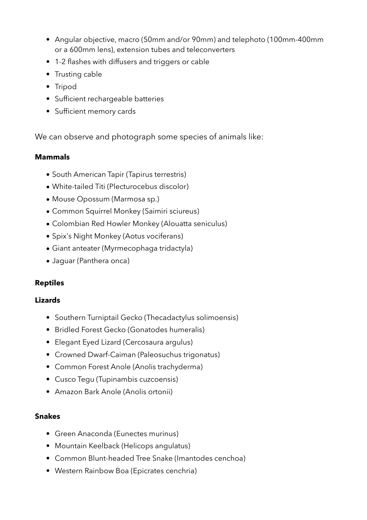- Angular objective, macro (50mm and/or 90mm) and telephoto (100mm-400mm or a 600mm lens), extension tubes and teleconverters
- 1-2 flashes with diffusers and triggers or cable
- Trusting cable
- Tripod
- Sufficient rechargeable batteries
- Sufficient memory cards

We can observe and photograph some species of animals like:

## **Mammals**

- South American Tapir (Tapirus terrestris)
- White-tailed Titi (Plecturocebus discolor)
- Mouse Opossum (Marmosa sp.)
- Common Squirrel Monkey (Saimiri sciureus)
- Colombian Red Howler Monkey (Alouatta seniculus)
- Spix's Night Monkey (Aotus vociferans)
- Giant anteater (Myrmecophaga tridactyla)
- Jaguar (Panthera onca)

## **Reptiles**

### **Lizards**

- Southern Turniptail Gecko (Thecadactylus solimoensis)
- Bridled Forest Gecko (Gonatodes humeralis)
- Elegant Eyed Lizard (Cercosaura argulus)
- Crowned Dwarf-Caiman (Paleosuchus trigonatus)
- Common Forest Anole (Anolis trachyderma)
- Cusco Tegu (Tupinambis cuzcoensis)
- Amazon Bark Anole (Anolis ortonii)

### **Snakes**

- Green Anaconda (Eunectes murinus)
- Mountain Keelback (Helicops angulatus)
- Common Blunt-headed Tree Snake (Imantodes cenchoa)
- Western Rainbow Boa (Epicrates cenchria)